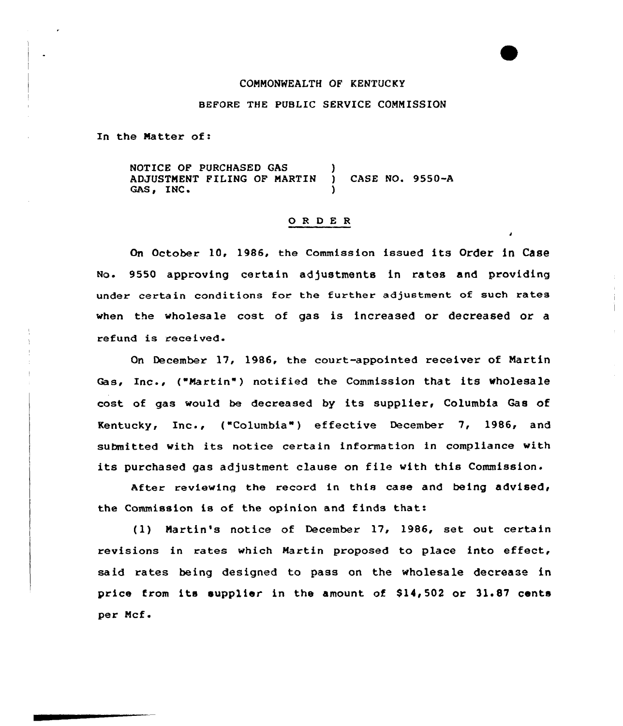## COMMONWEALTH QF KENTUCKY

## BEFORE THE PUBLIC SERVICE COMMISSION

In the Matter of:

NOTICE OF PURCHASED GAS ADJUSTMENT FILING OF MARTIN ) CASE NO. 9550-A GAS, INC.

# 0 <sup>R</sup> <sup>D</sup> <sup>E</sup> <sup>R</sup>

On October 10, 1986, the Commission issued its Order in Case No. 9550 approving certain adjustments in rates and providing under certain conditions for the further adjustment of such rates when the wholesale cost of gas is increased or decreased or a refund is received.

On December 17, 1986, the court-appointed receiver of Martin Gas, Inc., ("Martin") notified the Commission that its wholesale cost of gas would be decreased by its supplier, Columbia Gas of Kentucky, Inc., ("Columbia") effective December 7, 1986, and submitted with its notice certain information in compliance with its purchased gas adjustment clause on file with this Commission.

After reviewing the record in this case and being advised, the Commission is of the opinion and finds that:

(1) Martin's notice of December 17, 1986, set out certain revisions in rates which Martin proposed to place into effect, said rates being designed to pass on the wholesale decrease in price from its supplier in the amount of \$14,502 or 31.87 cents per Mcf.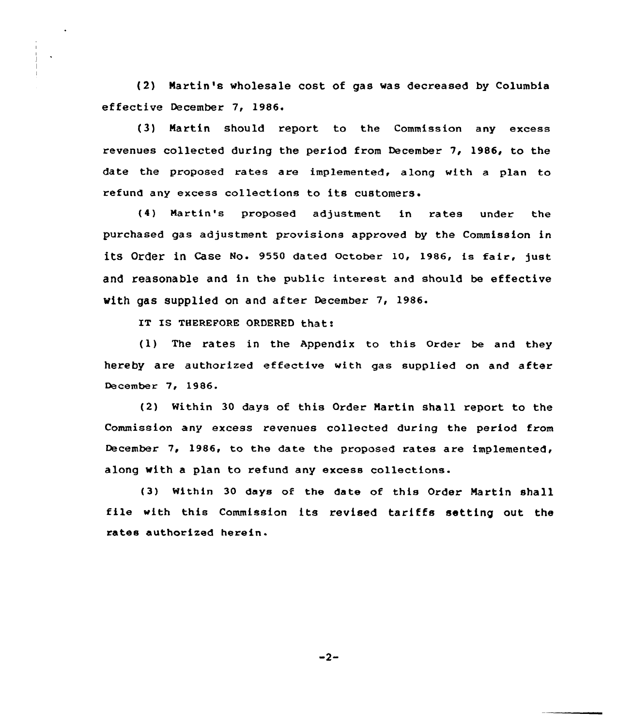{2) Martin's wholesale cost of gas was decreased by Columbia effective December 7, 1986.

{3) Martin should report to the Commission any excess revenues collected during the period from December 7, 1986, to the date the proposed rates are implemented, along with a plan to refund any excess collections to its customers.

{4) Martin's proposed adjustment in rates under the purchased gas adjustment provisions approved by the Commission in its order in case No. 9550 dated october 10, 1986, is fair, just and reasonable and in the public interest and should be effective with gas supplied on and after December 7, 1986.

IT IS THEREFORE ORDERED that:

{1) The rates in the Appendix to this Order be and they hereby are authorized effective with gas supplied on and after December 7, 1986.

{2) Within 30 days of this Order Martin shall report to the Commission any excess revenues collected during the period from December 7, 1986, to the date the proposed rates are implemented, along with a plan to refund any excess collections.

{3) within 30 days of the date of this Order Martin shall file with this Commission its revised tariffs setting out the rates authorised herein-

 $-2-$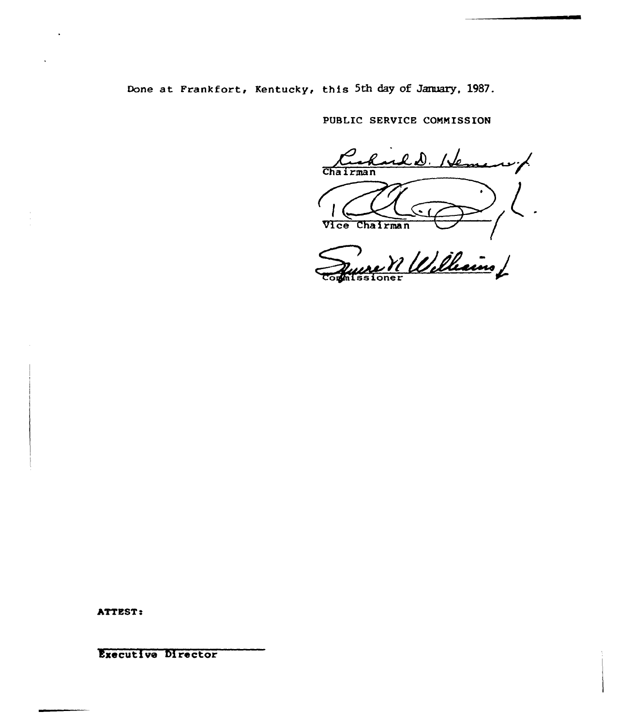Done at Frankfort, Kentucky, this 5th day of January, 1987.

PUBLIC SERVICE COMMISSION

ald. Heme بمرسد Chairman  $\blacksquare$ Vice Chairman

ne Villellains

ATTEST:

Executive Director